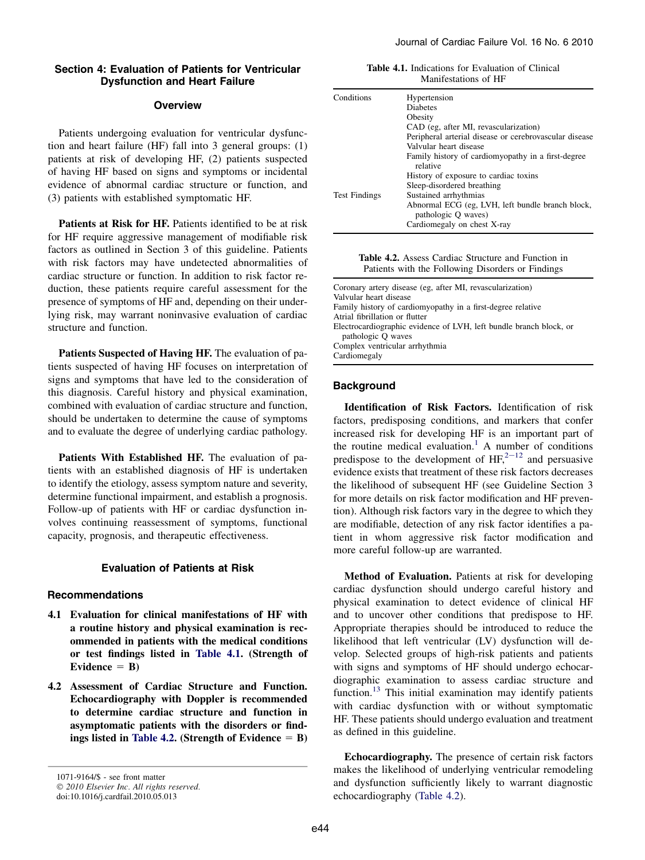# Section 4: Evaluation of Patients for Ventricular Dysfunction and Heart Failure

### **Overview**

Patients undergoing evaluation for ventricular dysfunction and heart failure (HF) fall into 3 general groups: (1) patients at risk of developing HF, (2) patients suspected of having HF based on signs and symptoms or incidental evidence of abnormal cardiac structure or function, and (3) patients with established symptomatic HF.

Patients at Risk for HF. Patients identified to be at risk for HF require aggressive management of modifiable risk factors as outlined in Section 3 of this guideline. Patients with risk factors may have undetected abnormalities of cardiac structure or function. In addition to risk factor reduction, these patients require careful assessment for the presence of symptoms of HF and, depending on their underlying risk, may warrant noninvasive evaluation of cardiac structure and function.

Patients Suspected of Having HF. The evaluation of patients suspected of having HF focuses on interpretation of signs and symptoms that have led to the consideration of this diagnosis. Careful history and physical examination, combined with evaluation of cardiac structure and function, should be undertaken to determine the cause of symptoms and to evaluate the degree of underlying cardiac pathology.

Patients With Established HF. The evaluation of patients with an established diagnosis of HF is undertaken to identify the etiology, assess symptom nature and severity, determine functional impairment, and establish a prognosis. Follow-up of patients with HF or cardiac dysfunction involves continuing reassessment of symptoms, functional capacity, prognosis, and therapeutic effectiveness.

# Evaluation of Patients at Risk

# Recommendations

- 4.1 Evaluation for clinical manifestations of HF with a routine history and physical examination is recommended in patients with the medical conditions or test findings listed in Table 4.1. (Strength of Evidence  $=$  B)
- 4.2 Assessment of Cardiac Structure and Function. Echocardiography with Doppler is recommended to determine cardiac structure and function in asymptomatic patients with the disorders or findings listed in Table 4.2. (Strength of Evidence  $=$  B)

Table 4.1. Indications for Evaluation of Clinical Manifestations of HF

| Conditions           | Hypertension                                                            |
|----------------------|-------------------------------------------------------------------------|
|                      | <b>Diabetes</b>                                                         |
|                      | Obesity                                                                 |
|                      | CAD (eg, after MI, revascularization)                                   |
|                      | Peripheral arterial disease or cerebrovascular disease                  |
|                      | Valvular heart disease                                                  |
|                      | Family history of cardiomy opathy in a first-degree<br>relative         |
|                      | History of exposure to cardiac toxins                                   |
|                      | Sleep-disordered breathing                                              |
| <b>Test Findings</b> | Sustained arrhythmias                                                   |
|                      | Abnormal ECG (eg, LVH, left bundle branch block,<br>pathologic Q waves) |
|                      | Cardiomegaly on chest X-ray                                             |

Table 4.2. Assess Cardiac Structure and Function in Patients with the Following Disorders or Findings

| Coronary artery disease (eg, after MI, revascularization)          |
|--------------------------------------------------------------------|
| Valvular heart disease                                             |
| Family history of cardiomy opathy in a first-degree relative       |
| Atrial fibrillation or flutter                                     |
| Electrocardiographic evidence of LVH, left bundle branch block, or |
| pathologic Q waves                                                 |
| Complex ventricular arrhythmia                                     |
| Cardiomegaly                                                       |
|                                                                    |

# **Background**

Identification of Risk Factors. Identification of risk factors, predisposing conditions, and markers that confer increased risk for developing HF is an important part of the routine medical evaluation.<sup>[1](#page-10-0)</sup> A number of conditions predispose to the development of  $HF<sub>1</sub><sup>2-12</sup>$  $HF<sub>1</sub><sup>2-12</sup>$  $HF<sub>1</sub><sup>2-12</sup>$  and persuasive evidence exists that treatment of these risk factors decreases the likelihood of subsequent HF (see Guideline Section 3 for more details on risk factor modification and HF prevention). Although risk factors vary in the degree to which they are modifiable, detection of any risk factor identifies a patient in whom aggressive risk factor modification and more careful follow-up are warranted.

Method of Evaluation. Patients at risk for developing cardiac dysfunction should undergo careful history and physical examination to detect evidence of clinical HF and to uncover other conditions that predispose to HF. Appropriate therapies should be introduced to reduce the likelihood that left ventricular (LV) dysfunction will develop. Selected groups of high-risk patients and patients with signs and symptoms of HF should undergo echocardiographic examination to assess cardiac structure and function.<sup>13</sup> This initial examination may identify patients with cardiac dysfunction with or without symptomatic HF. These patients should undergo evaluation and treatment as defined in this guideline.

Echocardiography. The presence of certain risk factors makes the likelihood of underlying ventricular remodeling and dysfunction sufficiently likely to warrant diagnostic echocardiography (Table 4.2).

<sup>1071-9164/\$ -</sup> see front matter © 2010 Elsevier Inc. All rights reserved.

doi:10.1016/j.cardfail.2010.05.013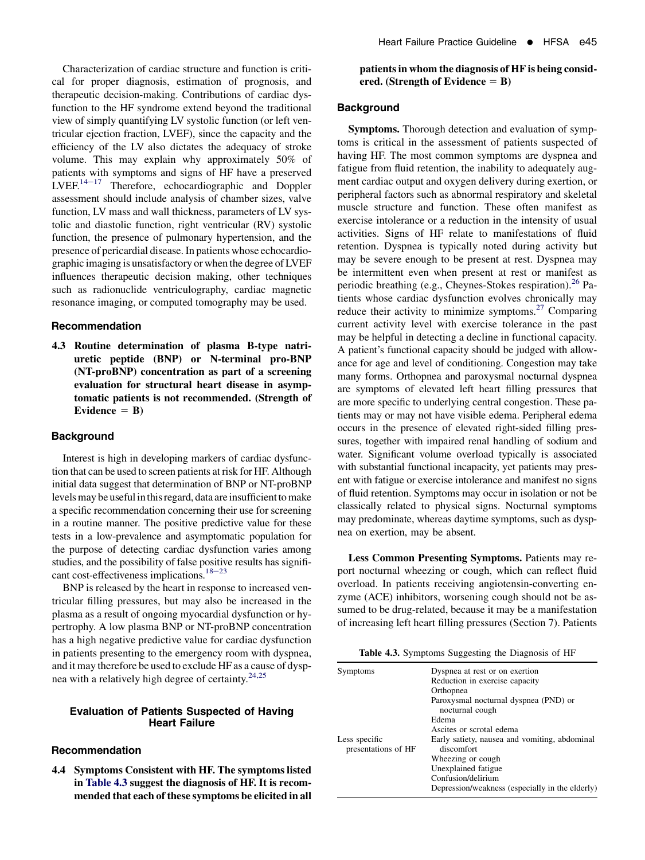Characterization of cardiac structure and function is critical for proper diagnosis, estimation of prognosis, and therapeutic decision-making. Contributions of cardiac dysfunction to the HF syndrome extend beyond the traditional view of simply quantifying LV systolic function (or left ventricular ejection fraction, LVEF), since the capacity and the efficiency of the LV also dictates the adequacy of stroke volume. This may explain why approximately 50% of patients with symptoms and signs of HF have a preserved  $LVEF<sup>14–17</sup>$  Therefore, echocardiographic and Doppler assessment should include analysis of chamber sizes, valve function, LV mass and wall thickness, parameters of LV systolic and diastolic function, right ventricular (RV) systolic function, the presence of pulmonary hypertension, and the presence of pericardial disease. In patients whose echocardiographic imaging is unsatisfactory or when the degree of LVEF influences therapeutic decision making, other techniques such as radionuclide ventriculography, cardiac magnetic resonance imaging, or computed tomography may be used.

### Recommendation

4.3 Routine determination of plasma B-type natriuretic peptide (BNP) or N-terminal pro-BNP (NT-proBNP) concentration as part of a screening evaluation for structural heart disease in asymptomatic patients is not recommended. (Strength of Evidence  $=$  B)

### **Background**

Interest is high in developing markers of cardiac dysfunction that can be used to screen patients at risk for HF. Although initial data suggest that determination of BNP or NT-proBNP levels may be useful in this regard, data are insufficient to make a specific recommendation concerning their use for screening in a routine manner. The positive predictive value for these tests in a low-prevalence and asymptomatic population for the purpose of detecting cardiac dysfunction varies among studies, and the possibility of false positive results has significant cost-effectiveness implications.<sup>18–23</sup>

BNP is released by the heart in response to increased ventricular filling pressures, but may also be increased in the plasma as a result of ongoing myocardial dysfunction or hypertrophy. A low plasma BNP or NT-proBNP concentration has a high negative predictive value for cardiac dysfunction in patients presenting to the emergency room with dyspnea, and it may therefore be used to exclude HF as a cause of dysp-nea with a relatively high degree of certainty.<sup>[24,25](#page-10-0)</sup>

# Evaluation of Patients Suspected of Having Heart Failure

### Recommendation

4.4 Symptoms Consistent with HF. The symptoms listed in Table 4.3 suggest the diagnosis of HF. It is recommended that each of these symptoms be elicited in all

# patients in whom the diagnosis of HF is being considered. (Strength of Evidence  $=$  B)

### Background

Symptoms. Thorough detection and evaluation of symptoms is critical in the assessment of patients suspected of having HF. The most common symptoms are dyspnea and fatigue from fluid retention, the inability to adequately augment cardiac output and oxygen delivery during exertion, or peripheral factors such as abnormal respiratory and skeletal muscle structure and function. These often manifest as exercise intolerance or a reduction in the intensity of usual activities. Signs of HF relate to manifestations of fluid retention. Dyspnea is typically noted during activity but may be severe enough to be present at rest. Dyspnea may be intermittent even when present at rest or manifest as periodic breathing (e.g., Cheynes-Stokes respiration).<sup>[26](#page-10-0)</sup> Patients whose cardiac dysfunction evolves chronically may reduce their activity to minimize symptoms.<sup>[27](#page-10-0)</sup> Comparing current activity level with exercise tolerance in the past may be helpful in detecting a decline in functional capacity. A patient's functional capacity should be judged with allowance for age and level of conditioning. Congestion may take many forms. Orthopnea and paroxysmal nocturnal dyspnea are symptoms of elevated left heart filling pressures that are more specific to underlying central congestion. These patients may or may not have visible edema. Peripheral edema occurs in the presence of elevated right-sided filling pressures, together with impaired renal handling of sodium and water. Significant volume overload typically is associated with substantial functional incapacity, yet patients may present with fatigue or exercise intolerance and manifest no signs of fluid retention. Symptoms may occur in isolation or not be classically related to physical signs. Nocturnal symptoms may predominate, whereas daytime symptoms, such as dyspnea on exertion, may be absent.

Less Common Presenting Symptoms. Patients may report nocturnal wheezing or cough, which can reflect fluid overload. In patients receiving angiotensin-converting enzyme (ACE) inhibitors, worsening cough should not be assumed to be drug-related, because it may be a manifestation of increasing left heart filling pressures (Section 7). Patients

Table 4.3. Symptoms Suggesting the Diagnosis of HF

| Symptoms                             | Dyspnea at rest or on exertion<br>Reduction in exercise capacity<br>Orthopnea<br>Paroxysmal nocturnal dyspnea (PND) or                                                                                                                    |
|--------------------------------------|-------------------------------------------------------------------------------------------------------------------------------------------------------------------------------------------------------------------------------------------|
| Less specific<br>presentations of HF | nocturnal cough<br>Edema<br>Ascites or scrotal edema<br>Early satiety, nausea and vomiting, abdominal<br>discomfort<br>Wheezing or cough.<br>Unexplained fatigue<br>Confusion/delirium<br>Depression/weakness (especially in the elderly) |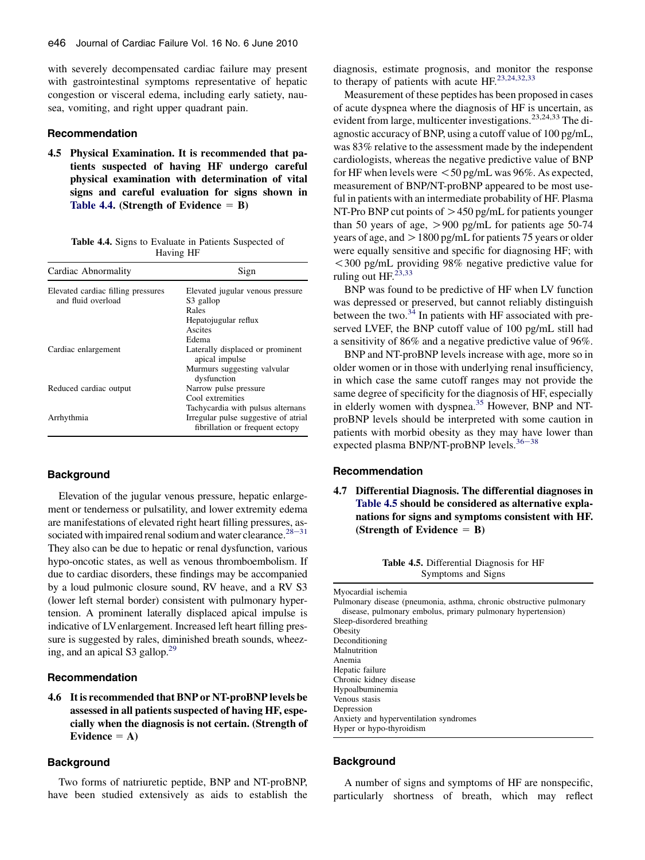with severely decompensated cardiac failure may present with gastrointestinal symptoms representative of hepatic congestion or visceral edema, including early satiety, nausea, vomiting, and right upper quadrant pain.

### Recommendation

4.5 Physical Examination. It is recommended that patients suspected of having HF undergo careful physical examination with determination of vital signs and careful evaluation for signs shown in Table 4.4. (Strength of Evidence  $=$  B)

Table 4.4. Signs to Evaluate in Patients Suspected of Having HF

| Cardiac Abnormality                | Sign                                                                    |
|------------------------------------|-------------------------------------------------------------------------|
| Elevated cardiac filling pressures | Elevated jugular venous pressure                                        |
| and fluid overload                 | S3 gallop                                                               |
|                                    | Rales                                                                   |
|                                    | Hepatojugular reflux                                                    |
|                                    | Ascites                                                                 |
|                                    | Edema                                                                   |
| Cardiac enlargement                | Laterally displaced or prominent<br>apical impulse                      |
|                                    | Murmurs suggesting valvular<br>dysfunction                              |
| Reduced cardiac output             | Narrow pulse pressure                                                   |
|                                    | Cool extremities                                                        |
|                                    | Tachycardia with pulsus alternans                                       |
| Arrhythmia                         | Irregular pulse suggestive of atrial<br>fibrillation or frequent ectopy |

### **Background**

Elevation of the jugular venous pressure, hepatic enlargement or tenderness or pulsatility, and lower extremity edema are manifestations of elevated right heart filling pressures, associated with impaired renal sodium and water clearance. $28-31$ They also can be due to hepatic or renal dysfunction, various hypo-oncotic states, as well as venous thromboembolism. If due to cardiac disorders, these findings may be accompanied by a loud pulmonic closure sound, RV heave, and a RV S3 (lower left sternal border) consistent with pulmonary hypertension. A prominent laterally displaced apical impulse is indicative of LV enlargement. Increased left heart filling pressure is suggested by rales, diminished breath sounds, wheezing, and an apical S3 gallop.<sup>29</sup>

### Recommendation

4.6 It is recommended that BNP or NT-proBNP levels be assessed in all patients suspected of having HF, especially when the diagnosis is not certain. (Strength of Evidence  $= A$ )

#### **Background**

Two forms of natriuretic peptide, BNP and NT-proBNP, have been studied extensively as aids to establish the

diagnosis, estimate prognosis, and monitor the response to therapy of patients with acute  $HF^{23,24,32,33}$  $HF^{23,24,32,33}$  $HF^{23,24,32,33}$ 

Measurement of these peptides has been proposed in cases of acute dyspnea where the diagnosis of HF is uncertain, as evident from large, multicenter investigations.<sup>23,24,33</sup> The diagnostic accuracy of BNP, using a cutoff value of 100 pg/mL, was 83% relative to the assessment made by the independent cardiologists, whereas the negative predictive value of BNP for HF when levels were  $<$  50 pg/mL was 96%. As expected, measurement of BNP/NT-proBNP appeared to be most useful in patients with an intermediate probability of HF. Plasma NT-Pro BNP cut points of  $> 450$  pg/mL for patients younger than 50 years of age,  $>900$  pg/mL for patients age 50-74 years of age, and  $> 1800$  pg/mL for patients 75 years or older were equally sensitive and specific for diagnosing HF; with !300 pg/mL providing 98% negative predictive value for ruling out HF.<sup>23,33</sup>

BNP was found to be predictive of HF when LV function was depressed or preserved, but cannot reliably distinguish between the two. $34$  In patients with HF associated with preserved LVEF, the BNP cutoff value of 100 pg/mL still had a sensitivity of 86% and a negative predictive value of 96%.

BNP and NT-proBNP levels increase with age, more so in older women or in those with underlying renal insufficiency, in which case the same cutoff ranges may not provide the same degree of specificity for the diagnosis of HF, especially in elderly women with dyspnea.<sup>[35](#page-10-0)</sup> However, BNP and NTproBNP levels should be interpreted with some caution in patients with morbid obesity as they ma[y have](#page-10-0) lower than expected plasma BNP/NT-proBNP levels. $36-38$ 

### Recommendation

4.7 Differential Diagnosis. The differential diagnoses in Table 4.5 should be considered as alternative explanations for signs and symptoms consistent with HF. (Strength of Evidence  $=$  B)

> Table 4.5. Differential Diagnosis for HF Symptoms and Signs

```
Myocardial ischemia
Pulmonary disease (pneumonia, asthma, chronic obstructive pulmonary
  disease, pulmonary embolus, primary pulmonary hypertension)
Sleep-disordered breathing
Obesity
Deconditioning
Malnutrition
Anemia
Hepatic failure
Chronic kidney disease
Hypoalbuminemia
Venous stasis
Depression
Anxiety and hyperventilation syndromes
Hyper or hypo-thyroidism
```
### **Background**

A number of signs and symptoms of HF are nonspecific, particularly shortness of breath, which may reflect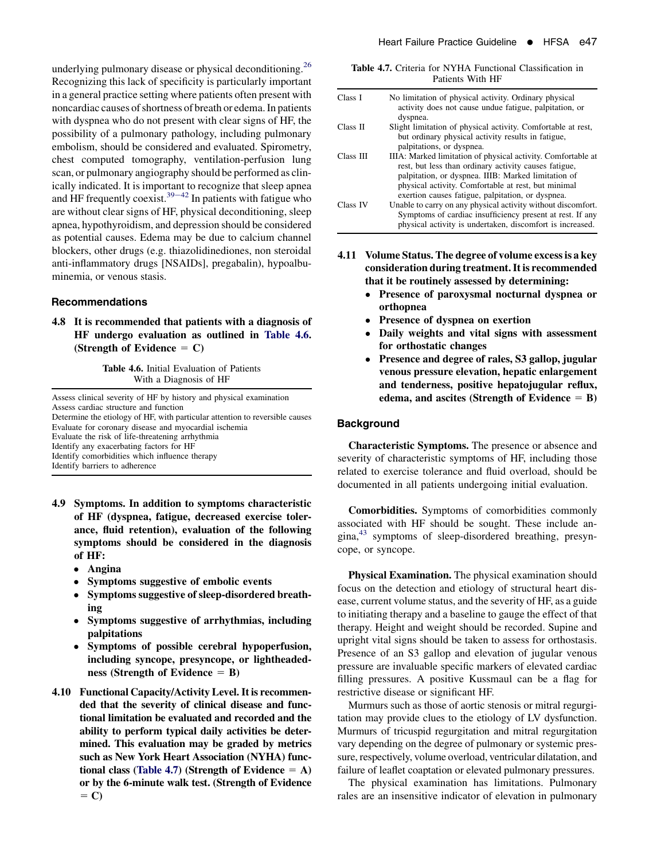<span id="page-3-0"></span>underlying pulmonary disease or physical deconditioning.<sup>[26](#page-10-0)</sup> Recognizing this lack of specificity is particularly important in a general practice setting where patients often present with noncardiac causes of shortness of breath or edema. In patients with dyspnea who do not present with clear signs of HF, the possibility of a pulmonary pathology, including pulmonary embolism, should be considered and evaluated. Spirometry, chest computed tomography, ventilation-perfusion lung scan, or pulmonary angiography should be performed as clinically indicated. It is important to recognize that sleep apnea and HF frequently coexist.<sup>39–42</sup> In patients with fatigue who are without clear signs of HF, physical deconditioning, sleep apnea, hypothyroidism, and depression should be considered as potential causes. Edema may be due to calcium channel blockers, other drugs (e.g. thiazolidinediones, non steroidal anti-inflammatory drugs [NSAIDs], pregabalin), hypoalbuminemia, or venous stasis.

#### Recommendations

4.8 It is recommended that patients with a diagnosis of HF undergo evaluation as outlined in Table 4.6. (Strength of Evidence  $= C$ )

> Table 4.6. Initial Evaluation of Patients With a Diagnosis of HF

Assess clinical severity of HF by history and physical examination Assess cardiac structure and function Determine the etiology of HF, with particular attention to reversible causes Evaluate for coronary disease and myocardial ischemia Evaluate the risk of life-threatening arrhythmia Identify any exacerbating factors for HF Identify comorbidities which influence therapy Identify barriers to adherence

- 4.9 Symptoms. In addition to symptoms characteristic of HF (dyspnea, fatigue, decreased exercise tolerance, fluid retention), evaluation of the following symptoms should be considered in the diagnosis of HF:
	- Angina
	- $\bullet$ Symptoms suggestive of embolic events
	- Symptoms suggestive of sleep-disordered breathing
	- $\bullet$  Symptoms suggestive of arrhythmias, including palpitations
	- Symptoms of possible cerebral hypoperfusion, including syncope, presyncope, or lightheadedness (Strength of Evidence  $=$  B)
- 4.10 Functional Capacity/Activity Level. It is recommended that the severity of clinical disease and functional limitation be evaluated and recorded and the ability to perform typical daily activities be determined. This evaluation may be graded by metrics such as New York Heart Association (NYHA) functional class (Table 4.7) (Strength of Evidence  $= A$ ) or by the 6-minute walk test. (Strength of Evidence  $=$  C)

|                  |  |  |  |  | <b>Table 4.7.</b> Criteria for NYHA Functional Classification in |  |
|------------------|--|--|--|--|------------------------------------------------------------------|--|
| Patients With HF |  |  |  |  |                                                                  |  |

| Class I   | No limitation of physical activity. Ordinary physical<br>activity does not cause undue fatigue, palpitation, or<br>dyspnea.                                                                                                                                                              |
|-----------|------------------------------------------------------------------------------------------------------------------------------------------------------------------------------------------------------------------------------------------------------------------------------------------|
| Class II  | Slight limitation of physical activity. Comfortable at rest,<br>but ordinary physical activity results in fatigue,                                                                                                                                                                       |
|           | palpitations, or dyspnea.                                                                                                                                                                                                                                                                |
| Class III | IIIA: Marked limitation of physical activity. Comfortable at<br>rest, but less than ordinary activity causes fatigue,<br>palpitation, or dyspnea. IIIB: Marked limitation of<br>physical activity. Comfortable at rest, but minimal<br>exertion causes fatigue, palpitation, or dyspnea. |
| Class IV  | Unable to carry on any physical activity without discomfort.<br>Symptoms of cardiac insufficiency present at rest. If any<br>physical activity is undertaken, discomfort is increased.                                                                                                   |

- 4.11 Volume Status. The degree of volume excess is a key consideration during treatment. It is recommended that it be routinely assessed by determining:
	- $\bullet$  Presence of paroxysmal nocturnal dyspnea or orthopnea
	- $\bullet$ Presence of dyspnea on exertion
	- $\bullet$  Daily weights and vital signs with assessment for orthostatic changes
	- Presence and degree of rales, S3 gallop, jugular venous pressure elevation, hepatic enlargement and tenderness, positive hepatojugular reflux, edema, and ascites (Strength of Evidence  $=$  B)

# **Background**

Characteristic Symptoms. The presence or absence and severity of characteristic symptoms of HF, including those related to exercise tolerance and fluid overload, should be documented in all patients undergoing initial evaluation.

Comorbidities. Symptoms of comorbidities commonly associated with HF should be sought. These include angina,[43](#page-11-0) symptoms of sleep-disordered breathing, presyncope, or syncope.

Physical Examination. The physical examination should focus on the detection and etiology of structural heart disease, current volume status, and the severity of HF, as a guide to initiating therapy and a baseline to gauge the effect of that therapy. Height and weight should be recorded. Supine and upright vital signs should be taken to assess for orthostasis. Presence of an S3 gallop and elevation of jugular venous pressure are invaluable specific markers of elevated cardiac filling pressures. A positive Kussmaul can be a flag for restrictive disease or significant HF.

Murmurs such as those of aortic stenosis or mitral regurgitation may provide clues to the etiology of LV dysfunction. Murmurs of tricuspid regurgitation and mitral regurgitation vary depending on the degree of pulmonary or systemic pressure, respectively, volume overload, ventricular dilatation, and failure of leaflet coaptation or elevated pulmonary pressures.

The physical examination has limitations. Pulmonary rales are an insensitive indicator of elevation in pulmonary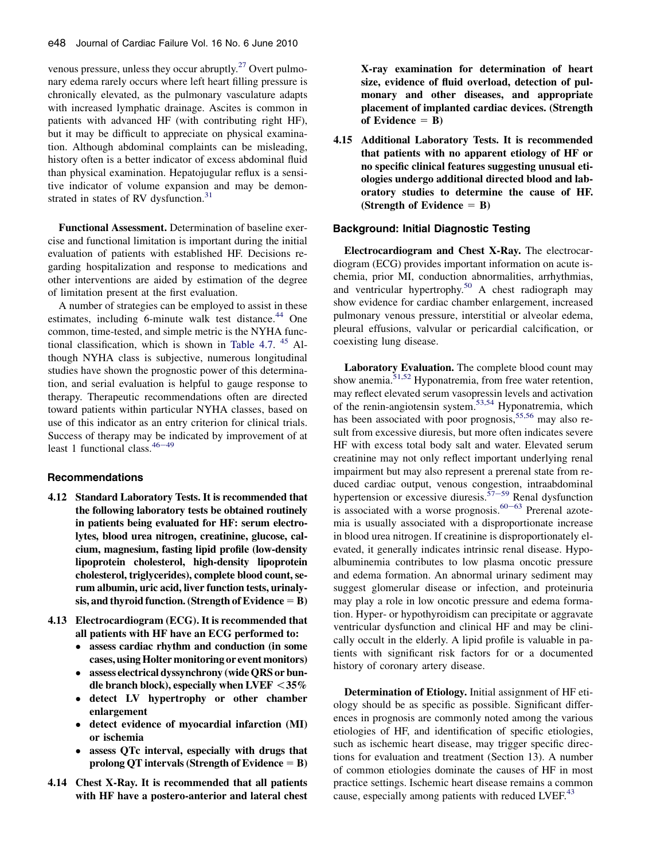venous pressure, unless they occur abruptly. $27$  Overt pulmonary edema rarely occurs where left heart filling pressure is chronically elevated, as the pulmonary vasculature adapts with increased lymphatic drainage. Ascites is common in patients with advanced HF (with contributing right HF), but it may be difficult to appreciate on physical examination. Although abdominal complaints can be misleading, history often is a better indicator of excess abdominal fluid than physical examination. Hepatojugular reflux is a sensitive indicator of volume expansion and may be demonstrated in states of RV dysfunction. $31$ 

Functional Assessment. Determination of baseline exercise and functional limitation is important during the initial evaluation of patients with established HF. Decisions regarding hospitalization and response to medications and other interventions are aided by estimation of the degree of limitation present at the first evaluation.

A number of strategies can be employed to assist in these estimates, including 6-minute walk test distance. $44$  One common, time-tested, and simple metric is the NYHA func-tional classification, which is shown in [Table 4.7](#page-3-0).  $45$  Although NYHA class is subjective, numerous longitudinal studies have shown the prognostic power of this determination, and serial evaluation is helpful to gauge response to therapy. Therapeutic recommendations often are directed toward patients within particular NYHA classes, based on use of this indicator as an entry criterion for clinical trials. Success of therapy may be indicated by improvement of at least 1 functional class.  $46-49$  $46-49$ 

# Recommendations

- 4.12 Standard Laboratory Tests. It is recommended that the following laboratory tests be obtained routinely in patients being evaluated for HF: serum electrolytes, blood urea nitrogen, creatinine, glucose, calcium, magnesium, fasting lipid profile (low-density lipoprotein cholesterol, high-density lipoprotein cholesterol, triglycerides), complete blood count, serum albumin, uric acid, liver function tests, urinalysis, and thyroid function. (Strength of Evidence  $=$  B)
- 4.13 Electrocardiogram (ECG). It is recommended that all patients with HF have an ECG performed to:
	- assess cardiac rhythm and conduction (in some cases, using Holter monitoring or event monitors)
	- $\bullet$  assess electrical dyssynchrony (wide QRS or bundle branch block), especially when LVEF  $<$  35%
	- $\bullet$  detect LV hypertrophy or other chamber enlargement
	- $\bullet$  detect evidence of myocardial infarction (MI) or ischemia
	- $\bullet$  assess QTc interval, especially with drugs that prolong QT intervals (Strength of Evidence  $=$  B)
- 4.14 Chest X-Ray. It is recommended that all patients with HF have a postero-anterior and lateral chest

X-ray examination for determination of heart size, evidence of fluid overload, detection of pulmonary and other diseases, and appropriate placement of implanted cardiac devices. (Strength of Evidence  $=$  B)

4.15 Additional Laboratory Tests. It is recommended that patients with no apparent etiology of HF or no specific clinical features suggesting unusual etiologies undergo additional directed blood and laboratory studies to determine the cause of HF. (Strength of Evidence  $=$  B)

### Background: Initial Diagnostic Testing

Electrocardiogram and Chest X-Ray. The electrocardiogram (ECG) provides important information on acute ischemia, prior MI, conduction abnormalities, arrhythmias, and ventricular hypertrophy.<sup>[50](#page-11-0)</sup> A chest radiograph may show evidence for cardiac chamber enlargement, increased pulmonary venous pressure, interstitial or alveolar edema, pleural effusions, valvular or pericardial calcification, or coexisting lung disease.

Laboratory Evaluation. The complete blood count may show anemia.<sup>[51,52](#page-11-0)</sup> Hyponatremia, from free water retention, may reflect elevated serum vasopressin levels and activation of the renin-angiotensin system.<sup>53,54</sup> Hyponatremia, which has been associated with poor prognosis,<sup>[55,56](#page-11-0)</sup> may also result from excessive diuresis, but more often indicates severe HF with excess total body salt and water. Elevated serum creatinine may not only reflect important underlying renal impairment but may also represent a prerenal state from reduced cardiac output, venous congestion, intraabdominal hypertension or excessive diuresis.<sup> $57-59$  $57-59$ </sup> Renal dysfunction is associated with a worse prognosis. $60-63$  $60-63$  Prerenal azotemia is usually associated with a disproportionate increase in blood urea nitrogen. If creatinine is disproportionately elevated, it generally indicates intrinsic renal disease. Hypoalbuminemia contributes to low plasma oncotic pressure and edema formation. An abnormal urinary sediment may suggest glomerular disease or infection, and proteinuria may play a role in low oncotic pressure and edema formation. Hyper- or hypothyroidism can precipitate or aggravate ventricular dysfunction and clinical HF and may be clinically occult in the elderly. A lipid profile is valuable in patients with significant risk factors for or a documented history of coronary artery disease.

Determination of Etiology. Initial assignment of HF etiology should be as specific as possible. Significant differences in prognosis are commonly noted among the various etiologies of HF, and identification of specific etiologies, such as ischemic heart disease, may trigger specific directions for evaluation and treatment (Section 13). A number of common etiologies dominate the causes of HF in most practice settings. Ischemic heart disease remains a common cause, especially among patients with reduced LVEF.<sup>[43](#page-11-0)</sup>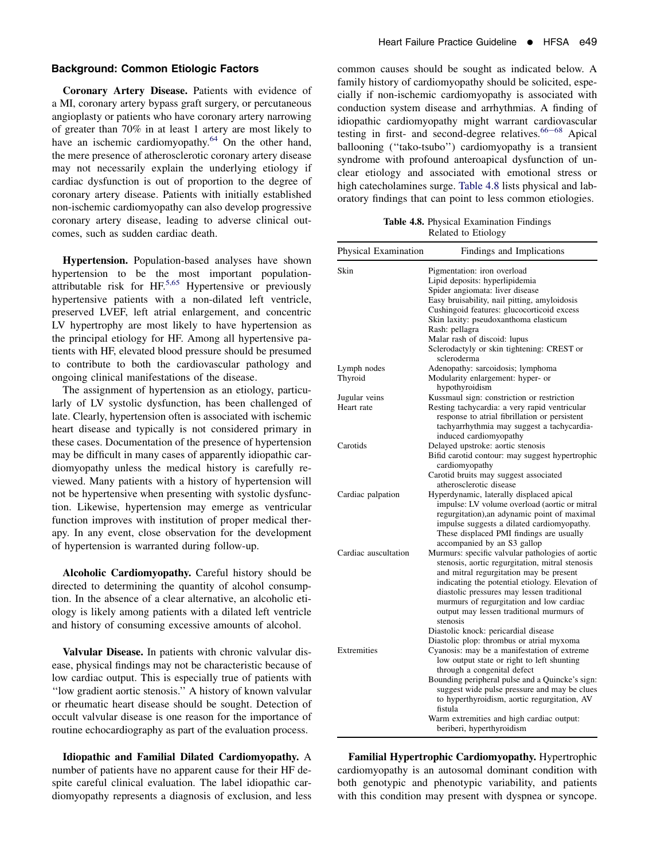### Background: Common Etiologic Factors

Coronary Artery Disease. Patients with evidence of a MI, coronary artery bypass graft surgery, or percutaneous angioplasty or patients who have coronary artery narrowing of greater than 70% in at least 1 artery are most likely to have an ischemic cardiomyopathy.<sup>[64](#page-11-0)</sup> On the other hand, the mere presence of atherosclerotic coronary artery disease may not necessarily explain the underlying etiology if cardiac dysfunction is out of proportion to the degree of coronary artery disease. Patients with initially established non-ischemic cardiomyopathy can also develop progressive coronary artery disease, leading to adverse clinical outcomes, such as sudden cardiac death.

Hypertension. Population-based analyses have shown hypertension to be the most important populationattributable risk for  $HF^{5,65}$  $HF^{5,65}$  $HF^{5,65}$  Hypertensive or previously hypertensive patients with a non-dilated left ventricle, preserved LVEF, left atrial enlargement, and concentric LV hypertrophy are most likely to have hypertension as the principal etiology for HF. Among all hypertensive patients with HF, elevated blood pressure should be presumed to contribute to both the cardiovascular pathology and ongoing clinical manifestations of the disease.

The assignment of hypertension as an etiology, particularly of LV systolic dysfunction, has been challenged of late. Clearly, hypertension often is associated with ischemic heart disease and typically is not considered primary in these cases. Documentation of the presence of hypertension may be difficult in many cases of apparently idiopathic cardiomyopathy unless the medical history is carefully reviewed. Many patients with a history of hypertension will not be hypertensive when presenting with systolic dysfunction. Likewise, hypertension may emerge as ventricular function improves with institution of proper medical therapy. In any event, close observation for the development of hypertension is warranted during follow-up.

Alcoholic Cardiomyopathy. Careful history should be directed to determining the quantity of alcohol consumption. In the absence of a clear alternative, an alcoholic etiology is likely among patients with a dilated left ventricle and history of consuming excessive amounts of alcohol.

Valvular Disease. In patients with chronic valvular disease, physical findings may not be characteristic because of low cardiac output. This is especially true of patients with ''low gradient aortic stenosis.'' A history of known valvular or rheumatic heart disease should be sought. Detection of occult valvular disease is one reason for the importance of routine echocardiography as part of the evaluation process.

Idiopathic and Familial Dilated Cardiomyopathy. A number of patients have no apparent cause for their HF despite careful clinical evaluation. The label idiopathic cardiomyopathy represents a diagnosis of exclusion, and less common causes should be sought as indicated below. A family history of cardiomyopathy should be solicited, especially if non-ischemic cardiomyopathy is associated with conduction system disease and arrhythmias. A finding of idiopathic cardiomyopathy might warrant cardiovascular testing in first- and second-degree relatives.  $66-68$  $66-68$  Apical ballooning (''tako-tsubo'') cardiomyopathy is a transient syndrome with profound anteroapical dysfunction of unclear etiology and associated with emotional stress or high catecholamines surge. Table 4.8 lists physical and laboratory findings that can point to less common etiologies.

Table 4.8. Physical Examination Findings Related to Etiology

| Physical Examination        | Findings and Implications                                                                                                                                                                                                                                                                                                                                                                                     |
|-----------------------------|---------------------------------------------------------------------------------------------------------------------------------------------------------------------------------------------------------------------------------------------------------------------------------------------------------------------------------------------------------------------------------------------------------------|
| Skin                        | Pigmentation: iron overload<br>Lipid deposits: hyperlipidemia<br>Spider angiomata: liver disease<br>Easy bruisability, nail pitting, amyloidosis                                                                                                                                                                                                                                                              |
|                             | Cushingoid features: glucocorticoid excess<br>Skin laxity: pseudoxanthoma elasticum<br>Rash: pellagra                                                                                                                                                                                                                                                                                                         |
|                             | Malar rash of discoid: lupus<br>Sclerodactyly or skin tightening: CREST or<br>scleroderma                                                                                                                                                                                                                                                                                                                     |
| Lymph nodes<br>Thyroid      | Adenopathy: sarcoidosis; lymphoma<br>Modularity enlargement: hyper- or<br>hypothyroidism                                                                                                                                                                                                                                                                                                                      |
| Jugular veins<br>Heart rate | Kussmaul sign: constriction or restriction<br>Resting tachycardia: a very rapid ventricular<br>response to atrial fibrillation or persistent<br>tachyarrhythmia may suggest a tachycardia-<br>induced cardiomyopathy                                                                                                                                                                                          |
| Carotids                    | Delayed upstroke: aortic stenosis<br>Bifid carotid contour: may suggest hypertrophic<br>cardiomyopathy<br>Carotid bruits may suggest associated<br>atherosclerotic disease                                                                                                                                                                                                                                    |
| Cardiac palpation           | Hyperdynamic, laterally displaced apical<br>impulse: LV volume overload (aortic or mitral<br>regurgitation), an adynamic point of maximal<br>impulse suggests a dilated cardiomyopathy.<br>These displaced PMI findings are usually<br>accompanied by an S3 gallop                                                                                                                                            |
| Cardiac auscultation        | Murmurs: specific valvular pathologies of aortic<br>stenosis, aortic regurgitation, mitral stenosis<br>and mitral regurgitation may be present<br>indicating the potential etiology. Elevation of<br>diastolic pressures may lessen traditional<br>murmurs of regurgitation and low cardiac<br>output may lessen traditional murmurs of<br>stenosis<br>Diastolic knock: pericardial disease                   |
| Extremities                 | Diastolic plop: thrombus or atrial myxoma<br>Cyanosis: may be a manifestation of extreme<br>low output state or right to left shunting<br>through a congenital defect<br>Bounding peripheral pulse and a Quincke's sign:<br>suggest wide pulse pressure and may be clues<br>to hyperthyroidism, aortic regurgitation, AV<br>fistula<br>Warm extremities and high cardiac output:<br>beriberi, hyperthyroidism |

Familial Hypertrophic Cardiomyopathy. Hypertrophic cardiomyopathy is an autosomal dominant condition with both genotypic and phenotypic variability, and patients with this condition may present with dyspnea or syncope.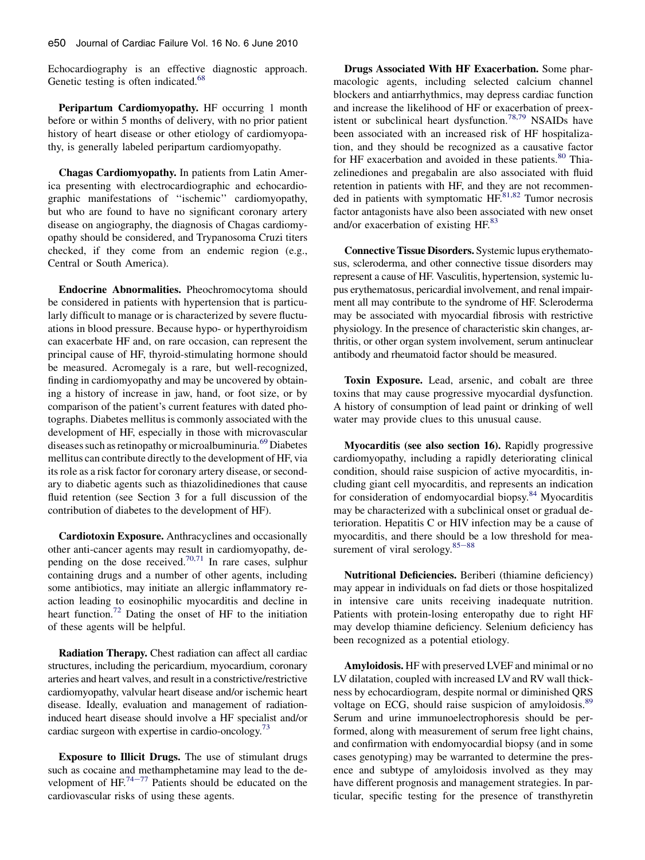Echocardiography is an effective diagnostic approach. Genetic testing is often indicated.<sup>[68](#page-11-0)</sup>

Peripartum Cardiomyopathy. HF occurring 1 month before or within 5 months of delivery, with no prior patient history of heart disease or other etiology of cardiomyopathy, is generally labeled peripartum cardiomyopathy.

Chagas Cardiomyopathy. In patients from Latin America presenting with electrocardiographic and echocardiographic manifestations of ''ischemic'' cardiomyopathy, but who are found to have no significant coronary artery disease on angiography, the diagnosis of Chagas cardiomyopathy should be considered, and Trypanosoma Cruzi titers checked, if they come from an endemic region (e.g., Central or South America).

Endocrine Abnormalities. Pheochromocytoma should be considered in patients with hypertension that is particularly difficult to manage or is characterized by severe fluctuations in blood pressure. Because hypo- or hyperthyroidism can exacerbate HF and, on rare occasion, can represent the principal cause of HF, thyroid-stimulating hormone should be measured. Acromegaly is a rare, but well-recognized, finding in cardiomyopathy and may be uncovered by obtaining a history of increase in jaw, hand, or foot size, or by comparison of the patient's current features with dated photographs. Diabetes mellitus is commonly associated with the development of HF, especially in those with microvascular diseases such as retinopathy or microalbuminuria.<sup>[69](#page-11-0)</sup> Diabetes mellitus can contribute directly to the development of HF, via its role as a risk factor for coronary artery disease, or secondary to diabetic agents such as thiazolidinediones that cause fluid retention (see Section 3 for a full discussion of the contribution of diabetes to the development of HF).

Cardiotoxin Exposure. Anthracyclines and occasionally other anti-cancer agents may result in cardiomyopathy, depending on the dose received.<sup>70,71</sup> In rare cases, sulphur containing drugs and a number of other agents, including some antibiotics, may initiate an allergic inflammatory reaction leading to eosinophilic myocarditis and decline in heart function.<sup>[72](#page-11-0)</sup> Dating the onset of HF to the initiation of these agents will be helpful.

Radiation Therapy. Chest radiation can affect all cardiac structures, including the pericardium, myocardium, coronary arteries and heart valves, and result in a constrictive/restrictive cardiomyopathy, valvular heart disease and/or ischemic heart disease. Ideally, evaluation and management of radiationinduced heart disease should involve a HF specialist and/or cardiac surgeon with expertise in cardio-oncology. $\frac{73}{2}$ 

Exposure to Illicit Drugs. The use of stimulant drugs such as cocaine a[nd me](#page-11-0)thamphetamine may lead to the development of HF. $^{74-77}$  Patients should be educated on the cardiovascular risks of using these agents.

Drugs Associated With HF Exacerbation. Some pharmacologic agents, including selected calcium channel blockers and antiarrhythmics, may depress cardiac function and increase the likelihood of HF or exacerbation of preex-istent or subclinical heart dysfunction.<sup>[78,79](#page-12-0)</sup> NSAIDs have been associated with an increased risk of HF hospitalization, and they should be recognized as a causative factor for HF exacerbation and avoided in these patients.<sup>[80](#page-12-0)</sup> Thiazelinediones and pregabalin are also associated with fluid retention in patients with HF, and they are not recommen-ded in patients with symptomatic HF.<sup>[81,82](#page-12-0)</sup> Tumor necrosis factor antagonists have also been associated with new onset and/or exacerbation of existing HF.<sup>83</sup>

Connective Tissue Disorders. Systemic lupus erythematosus, scleroderma, and other connective tissue disorders may represent a cause of HF. Vasculitis, hypertension, systemic lupus erythematosus, pericardial involvement, and renal impairment all may contribute to the syndrome of HF. Scleroderma may be associated with myocardial fibrosis with restrictive physiology. In the presence of characteristic skin changes, arthritis, or other organ system involvement, serum antinuclear antibody and rheumatoid factor should be measured.

Toxin Exposure. Lead, arsenic, and cobalt are three toxins that may cause progressive myocardial dysfunction. A history of consumption of lead paint or drinking of well water may provide clues to this unusual cause.

Myocarditis (see also section 16). Rapidly progressive cardiomyopathy, including a rapidly deteriorating clinical condition, should raise suspicion of active myocarditis, including giant cell myocarditis, and represents an indication for consideration of endomyocardial biopsy[.84](#page-12-0) Myocarditis may be characterized with a subclinical onset or gradual deterioration. Hepatitis C or HIV infection may be a cause of myocarditis, and there should be a low threshold for measurement of viral serology. $85-88$  $85-88$ 

Nutritional Deficiencies. Beriberi (thiamine deficiency) may appear in individuals on fad diets or those hospitalized in intensive care units receiving inadequate nutrition. Patients with protein-losing enteropathy due to right HF may develop thiamine deficiency. Selenium deficiency has been recognized as a potential etiology.

Amyloidosis. HF with preserved LVEF and minimal or no LV dilatation, coupled with increased LV and RV wall thickness by echocardiogram, despite normal or diminished QRS voltage on ECG, should raise suspicion of amyloidosis.<sup>[89](#page-12-0)</sup> Serum and urine immunoelectrophoresis should be performed, along with measurement of serum free light chains, and confirmation with endomyocardial biopsy (and in some cases genotyping) may be warranted to determine the presence and subtype of amyloidosis involved as they may have different prognosis and management strategies. In particular, specific testing for the presence of transthyretin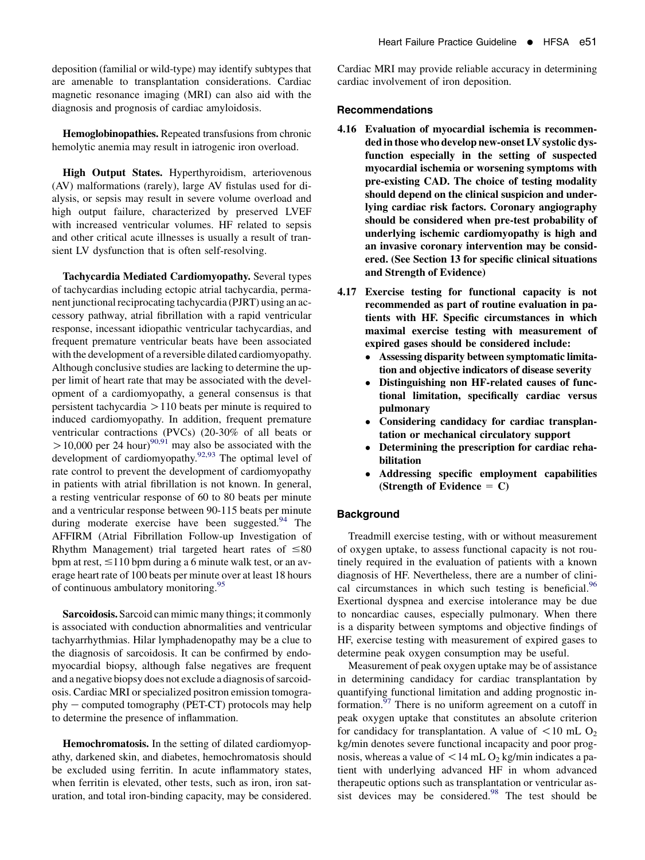deposition (familial or wild-type) may identify subtypes that are amenable to transplantation considerations. Cardiac magnetic resonance imaging (MRI) can also aid with the diagnosis and prognosis of cardiac amyloidosis.

Hemoglobinopathies. Repeated transfusions from chronic hemolytic anemia may result in iatrogenic iron overload.

High Output States. Hyperthyroidism, arteriovenous (AV) malformations (rarely), large AV fistulas used for dialysis, or sepsis may result in severe volume overload and high output failure, characterized by preserved LVEF with increased ventricular volumes. HF related to sepsis and other critical acute illnesses is usually a result of transient LV dysfunction that is often self-resolving.

Tachycardia Mediated Cardiomyopathy. Several types of tachycardias including ectopic atrial tachycardia, permanent junctional reciprocating tachycardia (PJRT) using an accessory pathway, atrial fibrillation with a rapid ventricular response, incessant idiopathic ventricular tachycardias, and frequent premature ventricular beats have been associated with the development of a reversible dilated cardiomyopathy. Although conclusive studies are lacking to determine the upper limit of heart rate that may be associated with the development of a cardiomyopathy, a general consensus is that persistent tachycardia  $>110$  beats per minute is required to induced cardiomyopathy. In addition, frequent premature ventricular contractions (PVCs) (20-30% of all beats or  $> 10,000$  per 24 hour)<sup>[90,91](#page-12-0)</sup> may also be associated with the development of cardiomyopathy.<sup>[92,93](#page-12-0)</sup> The optimal level of rate control to prevent the development of cardiomyopathy in patients with atrial fibrillation is not known. In general, a resting ventricular response of 60 to 80 beats per minute and a ventricular response between 90-115 beats per minute during moderate exercise have been suggested. $94$  The AFFIRM (Atrial Fibrillation Follow-up Investigation of Rhythm Management) trial targeted heart rates of  $\leq 80$ bpm at rest,  $\leq$ 110 bpm during a 6 minute walk test, or an average heart rate of 100 beats per minute over at least 18 hours of continuous ambulatory monitoring.<sup>[95](#page-12-0)</sup>

Sarcoidosis. Sarcoid can mimic many things; it commonly is associated with conduction abnormalities and ventricular tachyarrhythmias. Hilar lymphadenopathy may be a clue to the diagnosis of sarcoidosis. It can be confirmed by endomyocardial biopsy, although false negatives are frequent and a negative biopsy does not exclude a diagnosis of sarcoidosis. Cardiac MRI or specialized positron emission tomogra $phy$  – computed tomography (PET-CT) protocols may help to determine the presence of inflammation.

Hemochromatosis. In the setting of dilated cardiomyopathy, darkened skin, and diabetes, hemochromatosis should be excluded using ferritin. In acute inflammatory states, when ferritin is elevated, other tests, such as iron, iron saturation, and total iron-binding capacity, may be considered.

Cardiac MRI may provide reliable accuracy in determining cardiac involvement of iron deposition.

### Recommendations

- 4.16 Evaluation of myocardial ischemia is recommended in those who develop new-onset LV systolic dysfunction especially in the setting of suspected myocardial ischemia or worsening symptoms with pre-existing CAD. The choice of testing modality should depend on the clinical suspicion and underlying cardiac risk factors. Coronary angiography should be considered when pre-test probability of underlying ischemic cardiomyopathy is high and an invasive coronary intervention may be considered. (See Section 13 for specific clinical situations and Strength of Evidence)
- 4.17 Exercise testing for functional capacity is not recommended as part of routine evaluation in patients with HF. Specific circumstances in which maximal exercise testing with measurement of expired gases should be considered include:
	- Assessing disparity between symptomatic limitation and objective indicators of disease severity
	- Distinguishing non HF-related causes of functional limitation, specifically cardiac versus pulmonary
	- $\bullet$  Considering candidacy for cardiac transplantation or mechanical circulatory support
	- $\bullet$  Determining the prescription for cardiac rehabilitation
	- Addressing specific employment capabilities (Strength of Evidence  $= C$ )

## **Background**

Treadmill exercise testing, with or without measurement of oxygen uptake, to assess functional capacity is not routinely required in the evaluation of patients with a known diagnosis of HF. Nevertheless, there are a number of clini-cal circumstances in which such testing is beneficial.<sup>[96](#page-12-0)</sup> Exertional dyspnea and exercise intolerance may be due to noncardiac causes, especially pulmonary. When there is a disparity between symptoms and objective findings of HF, exercise testing with measurement of expired gases to determine peak oxygen consumption may be useful.

Measurement of peak oxygen uptake may be of assistance in determining candidacy for cardiac transplantation by quantifying functional limitation and adding prognostic information. $97$  There is no uniform agreement on a cutoff in peak oxygen uptake that constitutes an absolute criterion for candidacy for transplantation. A value of  $\langle 10 \text{ mL } \Omega_2 \rangle$ kg/min denotes severe functional incapacity and poor prognosis, whereas a value of  $\langle 14 \text{ mL O}_2 \text{ kg/min}$  indicates a patient with underlying advanced HF in whom advanced therapeutic options such as transplantation or ventricular as-sist devices may be considered.<sup>[98](#page-12-0)</sup> The test should be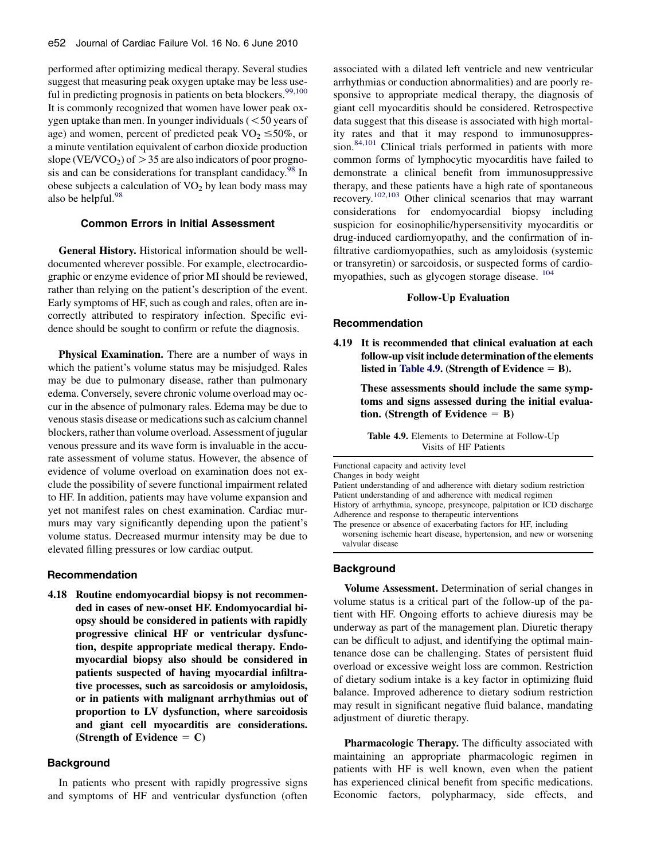performed after optimizing medical therapy. Several studies suggest that measuring peak oxygen uptake may be less use-ful in predicting prognosis in patients on beta blockers.<sup>[99,100](#page-12-0)</sup> It is commonly recognized that women have lower peak oxygen uptake than men. In younger individuals  $(< 50$  years of age) and women, percent of predicted peak  $VO<sub>2</sub> \le 50\%$ , or a minute ventilation equivalent of carbon dioxide production slope (VE/VCO<sub>2</sub>) of  $>$  35 are also indicators of poor prognosis and can be considerations for transplant candidacy.<sup>98</sup> In obese subjects a calculation of  $VO<sub>2</sub>$  by lean body mass may also be helpful. $98$ 

### Common Errors in Initial Assessment

General History. Historical information should be welldocumented wherever possible. For example, electrocardiographic or enzyme evidence of prior MI should be reviewed, rather than relying on the patient's description of the event. Early symptoms of HF, such as cough and rales, often are incorrectly attributed to respiratory infection. Specific evidence should be sought to confirm or refute the diagnosis.

Physical Examination. There are a number of ways in which the patient's volume status may be misjudged. Rales may be due to pulmonary disease, rather than pulmonary edema. Conversely, severe chronic volume overload may occur in the absence of pulmonary rales. Edema may be due to venous stasis disease or medications such as calcium channel blockers, rather than volume overload. Assessment of jugular venous pressure and its wave form is invaluable in the accurate assessment of volume status. However, the absence of evidence of volume overload on examination does not exclude the possibility of severe functional impairment related to HF. In addition, patients may have volume expansion and yet not manifest rales on chest examination. Cardiac murmurs may vary significantly depending upon the patient's volume status. Decreased murmur intensity may be due to elevated filling pressures or low cardiac output.

#### Recommendation

4.18 Routine endomyocardial biopsy is not recommended in cases of new-onset HF. Endomyocardial biopsy should be considered in patients with rapidly progressive clinical HF or ventricular dysfunction, despite appropriate medical therapy. Endomyocardial biopsy also should be considered in patients suspected of having myocardial infiltrative processes, such as sarcoidosis or amyloidosis, or in patients with malignant arrhythmias out of proportion to LV dysfunction, where sarcoidosis and giant cell myocarditis are considerations. (Strength of Evidence  $= C$ )

# **Background**

In patients who present with rapidly progressive signs and symptoms of HF and ventricular dysfunction (often

associated with a dilated left ventricle and new ventricular arrhythmias or conduction abnormalities) and are poorly responsive to appropriate medical therapy, the diagnosis of giant cell myocarditis should be considered. Retrospective data suggest that this disease is associated with high mortality rates and that it may respond to immunosuppression.<sup>84,101</sup> Clinical trials performed in patients with more common forms of lymphocytic myocarditis have failed to demonstrate a clinical benefit from immunosuppressive therapy, and these patients have a high rate of spontaneous recovery.[102,103](#page-12-0) Other clinical scenarios that may warrant considerations for endomyocardial biopsy including suspicion for eosinophilic/hypersensitivity myocarditis or drug-induced cardiomyopathy, and the confirmation of infiltrative cardiomyopathies, such as amyloidosis (systemic or transyretin) or sarcoidosis, or suspected forms of cardiomyopathies, such as glycogen storage disease.  $^{104}$  $^{104}$  $^{104}$ 

# Follow-Up Evaluation

#### Recommendation

4.19 It is recommended that clinical evaluation at each follow-up visit include determination of the elements listed in Table 4.9. (Strength of Evidence  $=$  B).

> These assessments should include the same symptoms and signs assessed during the initial evaluation. (Strength of Evidence  $=$  B)

| <b>Table 4.9.</b> Elements to Determine at Follow-Up |  |
|------------------------------------------------------|--|
| Visits of HF Patients                                |  |

Functional capacity and activity level

Changes in body weight

Patient understanding of and adherence with dietary sodium restriction Patient understanding of and adherence with medical regimen History of arrhythmia, syncope, presyncope, palpitation or ICD discharge Adherence and response to therapeutic interventions

The presence or absence of exacerbating factors for HF, including worsening ischemic heart disease, hypertension, and new or worsening valvular disease

### **Background**

Volume Assessment. Determination of serial changes in volume status is a critical part of the follow-up of the patient with HF. Ongoing efforts to achieve diuresis may be underway as part of the management plan. Diuretic therapy can be difficult to adjust, and identifying the optimal maintenance dose can be challenging. States of persistent fluid overload or excessive weight loss are common. Restriction of dietary sodium intake is a key factor in optimizing fluid balance. Improved adherence to dietary sodium restriction may result in significant negative fluid balance, mandating adjustment of diuretic therapy.

Pharmacologic Therapy. The difficulty associated with maintaining an appropriate pharmacologic regimen in patients with HF is well known, even when the patient has experienced clinical benefit from specific medications. Economic factors, polypharmacy, side effects, and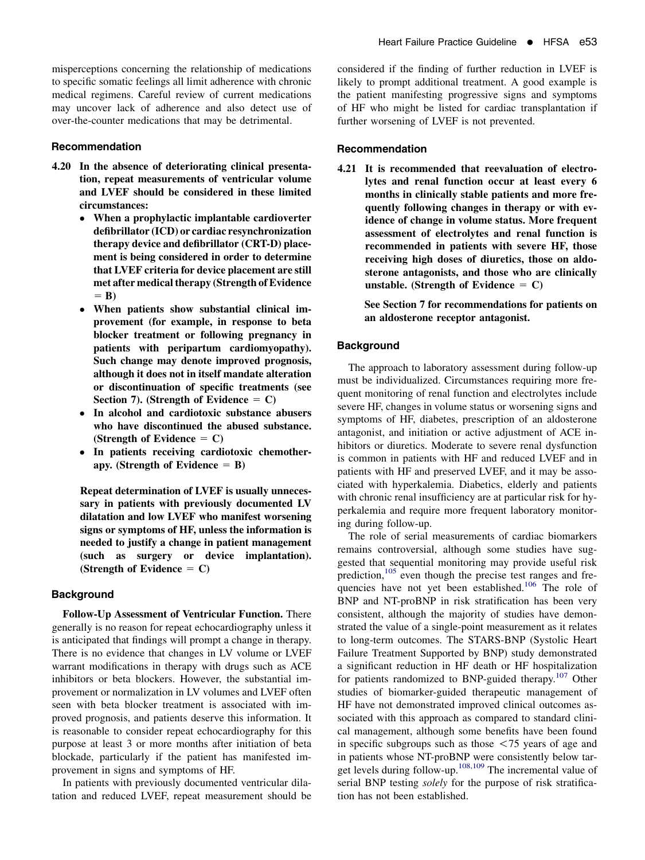misperceptions concerning the relationship of medications to specific somatic feelings all limit adherence with chronic medical regimens. Careful review of current medications may uncover lack of adherence and also detect use of over-the-counter medications that may be detrimental.

### Recommendation

- 4.20 In the absence of deteriorating clinical presentation, repeat measurements of ventricular volume and LVEF should be considered in these limited circumstances:
	- When a prophylactic implantable cardioverter defibrillator (ICD) or cardiac resynchronization therapy device and defibrillator (CRT-D) placement is being considered in order to determine that LVEF criteria for device placement are still met after medical therapy (Strength of Evidence  $=$  B)
	- When patients show substantial clinical improvement (for example, in response to beta blocker treatment or following pregnancy in patients with peripartum cardiomyopathy). Such change may denote improved prognosis, although it does not in itself mandate alteration or discontinuation of specific treatments (see Section 7). (Strength of Evidence  $= C$ )
	- In alcohol and cardiotoxic substance abusers who have discontinued the abused substance. (Strength of Evidence  $= C$ )
	- In patients receiving cardiotoxic chemotherapy. (Strength of Evidence  $=$  B)

Repeat determination of LVEF is usually unnecessary in patients with previously documented LV dilatation and low LVEF who manifest worsening signs or symptoms of HF, unless the information is needed to justify a change in patient management (such as surgery or device implantation). (Strength of Evidence  $= C$ )

# Background

Follow-Up Assessment of Ventricular Function. There generally is no reason for repeat echocardiography unless it is anticipated that findings will prompt a change in therapy. There is no evidence that changes in LV volume or LVEF warrant modifications in therapy with drugs such as ACE inhibitors or beta blockers. However, the substantial improvement or normalization in LV volumes and LVEF often seen with beta blocker treatment is associated with improved prognosis, and patients deserve this information. It is reasonable to consider repeat echocardiography for this purpose at least 3 or more months after initiation of beta blockade, particularly if the patient has manifested improvement in signs and symptoms of HF.

In patients with previously documented ventricular dilatation and reduced LVEF, repeat measurement should be

considered if the finding of further reduction in LVEF is likely to prompt additional treatment. A good example is the patient manifesting progressive signs and symptoms of HF who might be listed for cardiac transplantation if further worsening of LVEF is not prevented.

### Recommendation

4.21 It is recommended that reevaluation of electrolytes and renal function occur at least every 6 months in clinically stable patients and more frequently following changes in therapy or with evidence of change in volume status. More frequent assessment of electrolytes and renal function is recommended in patients with severe HF, those receiving high doses of diuretics, those on aldosterone antagonists, and those who are clinically unstable. (Strength of Evidence  $= C$ )

See Section 7 for recommendations for patients on an aldosterone receptor antagonist.

### **Background**

The approach to laboratory assessment during follow-up must be individualized. Circumstances requiring more frequent monitoring of renal function and electrolytes include severe HF, changes in volume status or worsening signs and symptoms of HF, diabetes, prescription of an aldosterone antagonist, and initiation or active adjustment of ACE inhibitors or diuretics. Moderate to severe renal dysfunction is common in patients with HF and reduced LVEF and in patients with HF and preserved LVEF, and it may be associated with hyperkalemia. Diabetics, elderly and patients with chronic renal insufficiency are at particular risk for hyperkalemia and require more frequent laboratory monitoring during follow-up.

The role of serial measurements of cardiac biomarkers remains controversial, although some studies have suggested that sequential monitoring may provide useful risk prediction, $105$  even though the precise test ranges and fre-quencies have not yet been established.<sup>[106](#page-12-0)</sup> The role of BNP and NT-proBNP in risk stratification has been very consistent, although the majority of studies have demonstrated the value of a single-point measurement as it relates to long-term outcomes. The STARS-BNP (Systolic Heart Failure Treatment Supported by BNP) study demonstrated a significant reduction in HF death or HF hospitalization for patients randomized to BNP-guided therapy.<sup>[107](#page-12-0)</sup> Other studies of biomarker-guided therapeutic management of HF have not demonstrated improved clinical outcomes associated with this approach as compared to standard clinical management, although some benefits have been found in specific subgroups such as those  $\langle 75 \rangle$  years of age and in patients whose NT-proBNP were consistently below target levels during follow-up.[108,109](#page-12-0) The incremental value of serial BNP testing solely for the purpose of risk stratification has not been established.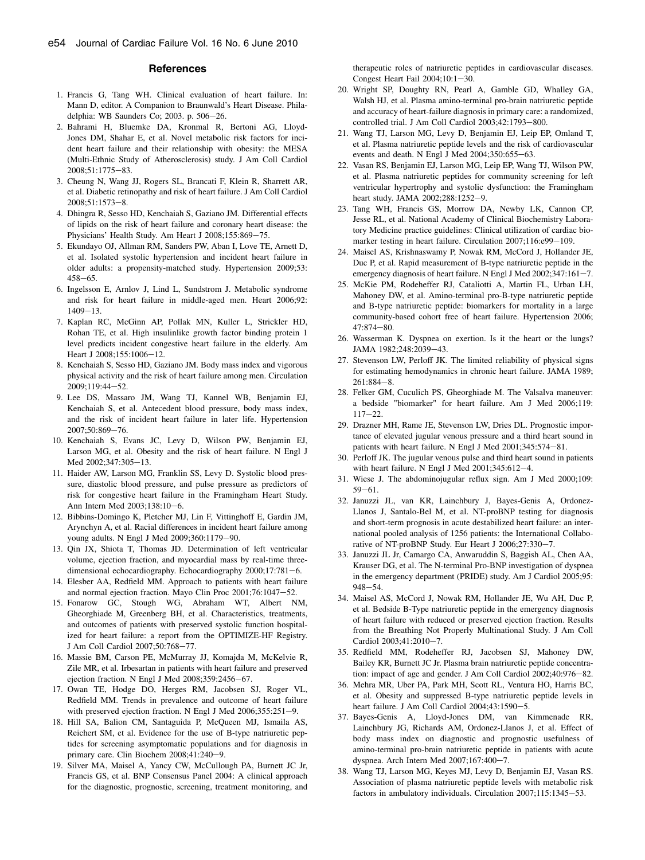### **References**

- <span id="page-10-0"></span>1. Francis G, Tang WH. Clinical evaluation of heart failure. In: Mann D, editor. A Companion to Braunwald's Heart Disease. Philadelphia: WB Saunders Co; 2003. p.  $506-26$ .
- 2. Bahrami H, Bluemke DA, Kronmal R, Bertoni AG, Lloyd-Jones DM, Shahar E, et al. Novel metabolic risk factors for incident heart failure and their relationship with obesity: the MESA (Multi-Ethnic Study of Atherosclerosis) study. J Am Coll Cardiol 2008;51:1775-83.
- 3. Cheung N, Wang JJ, Rogers SL, Brancati F, Klein R, Sharrett AR, et al. Diabetic retinopathy and risk of heart failure. J Am Coll Cardiol 2008;51:1573-8.
- 4. Dhingra R, Sesso HD, Kenchaiah S, Gaziano JM. Differential effects of lipids on the risk of heart failure and coronary heart disease: the Physicians' Health Study. Am Heart J 2008;155:869-75.
- 5. Ekundayo OJ, Allman RM, Sanders PW, Aban I, Love TE, Arnett D, et al. Isolated systolic hypertension and incident heart failure in older adults: a propensity-matched study. Hypertension 2009;53:  $458 - 65$ .
- 6. Ingelsson E, Arnlov J, Lind L, Sundstrom J. Metabolic syndrome and risk for heart failure in middle-aged men. Heart 2006;92:  $1409 - 13$ .
- 7. Kaplan RC, McGinn AP, Pollak MN, Kuller L, Strickler HD, Rohan TE, et al. High insulinlike growth factor binding protein 1 level predicts incident congestive heart failure in the elderly. Am Heart J 2008;155:1006-12.
- 8. Kenchaiah S, Sesso HD, Gaziano JM. Body mass index and vigorous physical activity and the risk of heart failure among men. Circulation  $2009:119:44-52.$
- 9. Lee DS, Massaro JM, Wang TJ, Kannel WB, Benjamin EJ, Kenchaiah S, et al. Antecedent blood pressure, body mass index, and the risk of incident heart failure in later life. Hypertension 2007;50:869-76.
- 10. Kenchaiah S, Evans JC, Levy D, Wilson PW, Benjamin EJ, Larson MG, et al. Obesity and the risk of heart failure. N Engl J Med 2002;347:305-13.
- 11. Haider AW, Larson MG, Franklin SS, Levy D. Systolic blood pressure, diastolic blood pressure, and pulse pressure as predictors of risk for congestive heart failure in the Framingham Heart Study. Ann Intern Med 2003;138:10-6.
- 12. Bibbins-Domingo K, Pletcher MJ, Lin F, Vittinghoff E, Gardin JM, Arynchyn A, et al. Racial differences in incident heart failure among young adults. N Engl J Med 2009;360:1179-90.
- 13. Qin JX, Shiota T, Thomas JD. Determination of left ventricular volume, ejection fraction, and myocardial mass by real-time threedimensional echocardiography. Echocardiography  $2000;17:781-6$ .
- 14. Elesber AA, Redfield MM. Approach to patients with heart failure and normal ejection fraction. Mayo Clin Proc 2001;76:1047-52.
- 15. Fonarow GC, Stough WG, Abraham WT, Albert NM, Gheorghiade M, Greenberg BH, et al. Characteristics, treatments, and outcomes of patients with preserved systolic function hospitalized for heart failure: a report from the OPTIMIZE-HF Registry. J Am Coll Cardiol 2007;50:768-77.
- 16. Massie BM, Carson PE, McMurray JJ, Komajda M, McKelvie R, Zile MR, et al. Irbesartan in patients with heart failure and preserved ejection fraction. N Engl J Med  $2008;359:2456-67$ .
- 17. Owan TE, Hodge DO, Herges RM, Jacobsen SJ, Roger VL, Redfield MM. Trends in prevalence and outcome of heart failure with preserved ejection fraction. N Engl J Med  $2006;355:251-9$ .
- 18. Hill SA, Balion CM, Santaguida P, McQueen MJ, Ismaila AS, Reichert SM, et al. Evidence for the use of B-type natriuretic peptides for screening asymptomatic populations and for diagnosis in primary care. Clin Biochem  $2008;41:240-9$ .
- 19. Silver MA, Maisel A, Yancy CW, McCullough PA, Burnett JC Jr, Francis GS, et al. BNP Consensus Panel 2004: A clinical approach for the diagnostic, prognostic, screening, treatment monitoring, and

therapeutic roles of natriuretic peptides in cardiovascular diseases. Congest Heart Fail  $2004:10:1-30$ .

- 20. Wright SP, Doughty RN, Pearl A, Gamble GD, Whalley GA, Walsh HJ, et al. Plasma amino-terminal pro-brain natriuretic peptide and accuracy of heart-failure diagnosis in primary care: a randomized, controlled trial. J Am Coll Cardiol 2003;42:1793-800.
- 21. Wang TJ, Larson MG, Levy D, Benjamin EJ, Leip EP, Omland T, et al. Plasma natriuretic peptide levels and the risk of cardiovascular events and death. N Engl J Med  $2004;350:655-63$ .
- 22. Vasan RS, Benjamin EJ, Larson MG, Leip EP, Wang TJ, Wilson PW, et al. Plasma natriuretic peptides for community screening for left ventricular hypertrophy and systolic dysfunction: the Framingham heart study. JAMA 2002;288:1252-9.
- 23. Tang WH, Francis GS, Morrow DA, Newby LK, Cannon CP, Jesse RL, et al. National Academy of Clinical Biochemistry Laboratory Medicine practice guidelines: Clinical utilization of cardiac biomarker testing in heart failure. Circulation 2007;116:e99-109.
- 24. Maisel AS, Krishnaswamy P, Nowak RM, McCord J, Hollander JE, Duc P, et al. Rapid measurement of B-type natriuretic peptide in the emergency diagnosis of heart failure. N Engl J Med  $2002;347:161-7$ .
- 25. McKie PM, Rodeheffer RJ, Cataliotti A, Martin FL, Urban LH, Mahoney DW, et al. Amino-terminal pro-B-type natriuretic peptide and B-type natriuretic peptide: biomarkers for mortality in a large community-based cohort free of heart failure. Hypertension 2006;  $47.874 - 80.$
- 26. Wasserman K. Dyspnea on exertion. Is it the heart or the lungs? JAMA 1982;248:2039-43.
- 27. Stevenson LW, Perloff JK. The limited reliability of physical signs for estimating hemodynamics in chronic heart failure. JAMA 1989;  $261:884-8.$
- 28. Felker GM, Cuculich PS, Gheorghiade M. The Valsalva maneuver: a bedside "biomarker" for heart failure. Am J Med 2006;119:  $117 - 22$ .
- 29. Drazner MH, Rame JE, Stevenson LW, Dries DL. Prognostic importance of elevated jugular venous pressure and a third heart sound in patients with heart failure. N Engl J Med 2001;345:574-81.
- 30. Perloff JK. The jugular venous pulse and third heart sound in patients with heart failure. N Engl J Med  $2001;345:612-4$ .
- 31. Wiese J. The abdominojugular reflux sign. Am J Med 2000;109:  $59 - 61.$
- 32. Januzzi JL, van KR, Lainchbury J, Bayes-Genis A, Ordonez-Llanos J, Santalo-Bel M, et al. NT-proBNP testing for diagnosis and short-term prognosis in acute destabilized heart failure: an international pooled analysis of 1256 patients: the International Collaborative of NT-proBNP Study. Eur Heart J 2006;27:330-7.
- 33. Januzzi JL Jr, Camargo CA, Anwaruddin S, Baggish AL, Chen AA, Krauser DG, et al. The N-terminal Pro-BNP investigation of dyspnea in the emergency department (PRIDE) study. Am J Cardiol 2005;95:  $948 - 54.$
- 34. Maisel AS, McCord J, Nowak RM, Hollander JE, Wu AH, Duc P, et al. Bedside B-Type natriuretic peptide in the emergency diagnosis of heart failure with reduced or preserved ejection fraction. Results from the Breathing Not Properly Multinational Study. J Am Coll Cardiol 2003;41:2010-7.
- 35. Redfield MM, Rodeheffer RJ, Jacobsen SJ, Mahoney DW, Bailey KR, Burnett JC Jr. Plasma brain natriuretic peptide concentration: impact of age and gender. J Am Coll Cardiol  $2002;40:976-82$ .
- 36. Mehra MR, Uber PA, Park MH, Scott RL, Ventura HO, Harris BC, et al. Obesity and suppressed B-type natriuretic peptide levels in heart failure. J Am Coll Cardiol 2004;43:1590-5.
- 37. Bayes-Genis A, Lloyd-Jones DM, van Kimmenade RR, Lainchbury JG, Richards AM, Ordonez-Llanos J, et al. Effect of body mass index on diagnostic and prognostic usefulness of amino-terminal pro-brain natriuretic peptide in patients with acute dyspnea. Arch Intern Med  $2007;167;400-7$ .
- 38. Wang TJ, Larson MG, Keyes MJ, Levy D, Benjamin EJ, Vasan RS. Association of plasma natriuretic peptide levels with metabolic risk factors in ambulatory individuals. Circulation 2007;115:1345-53.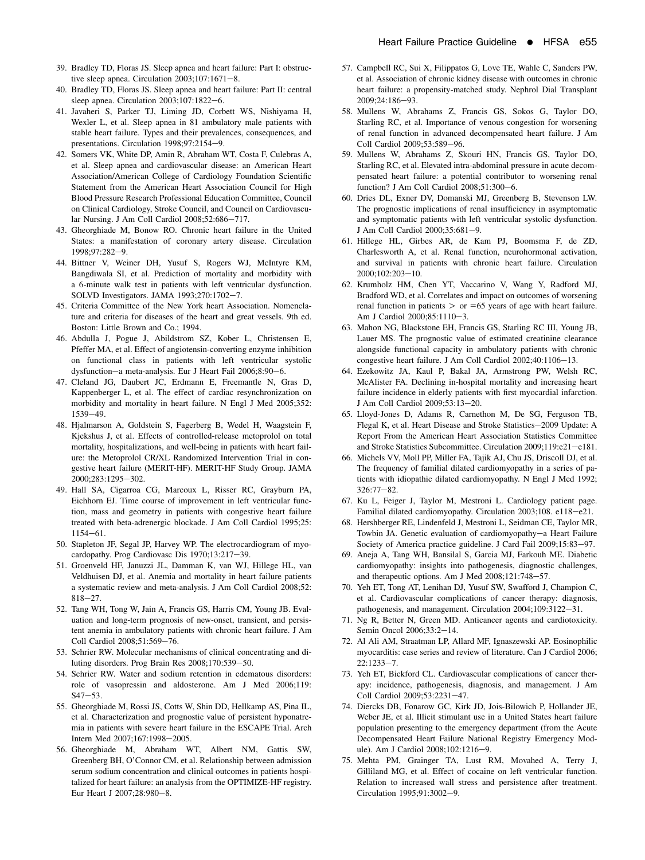- <span id="page-11-0"></span>39. Bradley TD, Floras JS. Sleep apnea and heart failure: Part I: obstructive sleep apnea. Circulation  $2003;107:1671-8$ .
- 40. Bradley TD, Floras JS. Sleep apnea and heart failure: Part II: central sleep apnea. Circulation  $2003;107:1822-6$ .
- 41. Javaheri S, Parker TJ, Liming JD, Corbett WS, Nishiyama H, Wexler L, et al. Sleep apnea in 81 ambulatory male patients with stable heart failure. Types and their prevalences, consequences, and presentations. Circulation 1998;97:2154-9.
- 42. Somers VK, White DP, Amin R, Abraham WT, Costa F, Culebras A, et al. Sleep apnea and cardiovascular disease: an American Heart Association/American College of Cardiology Foundation Scientific Statement from the American Heart Association Council for High Blood Pressure Research Professional Education Committee, Council on Clinical Cardiology, Stroke Council, and Council on Cardiovascular Nursing. J Am Coll Cardiol 2008;52:686-717.
- 43. Gheorghiade M, Bonow RO. Chronic heart failure in the United States: a manifestation of coronary artery disease. Circulation 1998:97:282-9.
- 44. Bittner V, Weiner DH, Yusuf S, Rogers WJ, McIntyre KM, Bangdiwala SI, et al. Prediction of mortality and morbidity with a 6-minute walk test in patients with left ventricular dysfunction. SOLVD Investigators. JAMA 1993;270:1702-7.
- 45. Criteria Committee of the New York heart Association. Nomenclature and criteria for diseases of the heart and great vessels. 9th ed. Boston: Little Brown and Co.; 1994.
- 46. Abdulla J, Pogue J, Abildstrom SZ, Kober L, Christensen E, Pfeffer MA, et al. Effect of angiotensin-converting enzyme inhibition on functional class in patients with left ventricular systolic dysfunction-a meta-analysis. Eur J Heart Fail 2006;8:90-6.
- 47. Cleland JG, Daubert JC, Erdmann E, Freemantle N, Gras D, Kappenberger L, et al. The effect of cardiac resynchronization on morbidity and mortality in heart failure. N Engl J Med 2005;352:  $1539 - 49.$
- 48. Hjalmarson A, Goldstein S, Fagerberg B, Wedel H, Waagstein F, Kjekshus J, et al. Effects of controlled-release metoprolol on total mortality, hospitalizations, and well-being in patients with heart failure: the Metoprolol CR/XL Randomized Intervention Trial in congestive heart failure (MERIT-HF). MERIT-HF Study Group. JAMA 2000:283:1295-302.
- 49. Hall SA, Cigarroa CG, Marcoux L, Risser RC, Grayburn PA, Eichhorn EJ. Time course of improvement in left ventricular function, mass and geometry in patients with congestive heart failure treated with beta-adrenergic blockade. J Am Coll Cardiol 1995;25:  $1154 - 61$ .
- 50. Stapleton JF, Segal JP, Harvey WP. The electrocardiogram of myocardopathy. Prog Cardiovasc Dis 1970;13:217-39.
- 51. Groenveld HF, Januzzi JL, Damman K, van WJ, Hillege HL, van Veldhuisen DJ, et al. Anemia and mortality in heart failure patients a systematic review and meta-analysis. J Am Coll Cardiol 2008;52:  $818 - 27.$
- 52. Tang WH, Tong W, Jain A, Francis GS, Harris CM, Young JB. Evaluation and long-term prognosis of new-onset, transient, and persistent anemia in ambulatory patients with chronic heart failure. J Am Coll Cardiol 2008;51:569-76.
- 53. Schrier RW. Molecular mechanisms of clinical concentrating and diluting disorders. Prog Brain Res 2008;170:539-50.
- 54. Schrier RW. Water and sodium retention in edematous disorders: role of vasopressin and aldosterone. Am J Med 2006;119:  $S47 - 53.$
- 55. Gheorghiade M, Rossi JS, Cotts W, Shin DD, Hellkamp AS, Pina IL, et al. Characterization and prognostic value of persistent hyponatremia in patients with severe heart failure in the ESCAPE Trial. Arch Intern Med 2007;167:1998-2005.
- 56. Gheorghiade M, Abraham WT, Albert NM, Gattis SW, Greenberg BH, O'Connor CM, et al. Relationship between admission serum sodium concentration and clinical outcomes in patients hospitalized for heart failure: an analysis from the OPTIMIZE-HF registry. Eur Heart J 2007;28:980-8.
- 57. Campbell RC, Sui X, Filippatos G, Love TE, Wahle C, Sanders PW, et al. Association of chronic kidney disease with outcomes in chronic heart failure: a propensity-matched study. Nephrol Dial Transplant 2009;24:186-93.
- 58. Mullens W, Abrahams Z, Francis GS, Sokos G, Taylor DO, Starling RC, et al. Importance of venous congestion for worsening of renal function in advanced decompensated heart failure. J Am Coll Cardiol 2009;53:589-96.
- 59. Mullens W, Abrahams Z, Skouri HN, Francis GS, Taylor DO, Starling RC, et al. Elevated intra-abdominal pressure in acute decompensated heart failure: a potential contributor to worsening renal function? J Am Coll Cardiol  $2008;51:300-6$ .
- 60. Dries DL, Exner DV, Domanski MJ, Greenberg B, Stevenson LW. The prognostic implications of renal insufficiency in asymptomatic and symptomatic patients with left ventricular systolic dysfunction. J Am Coll Cardiol 2000;35:681-9.
- 61. Hillege HL, Girbes AR, de Kam PJ, Boomsma F, de ZD, Charlesworth A, et al. Renal function, neurohormonal activation, and survival in patients with chronic heart failure. Circulation 2000;102:203-10.
- 62. Krumholz HM, Chen YT, Vaccarino V, Wang Y, Radford MJ, Bradford WD, et al. Correlates and impact on outcomes of worsening renal function in patients  $>$  or =65 years of age with heart failure. Am J Cardiol 2000;85:1110-3.
- 63. Mahon NG, Blackstone EH, Francis GS, Starling RC III, Young JB, Lauer MS. The prognostic value of estimated creatinine clearance alongside functional capacity in ambulatory patients with chronic congestive heart failure. J Am Coll Cardiol  $2002;40:1106-13$ .
- 64. Ezekowitz JA, Kaul P, Bakal JA, Armstrong PW, Welsh RC, McAlister FA. Declining in-hospital mortality and increasing heart failure incidence in elderly patients with first myocardial infarction. J Am Coll Cardiol 2009;53:13-20.
- 65. Lloyd-Jones D, Adams R, Carnethon M, De SG, Ferguson TB, Flegal K, et al. Heart Disease and Stroke Statistics-2009 Update: A Report From the American Heart Association Statistics Committee and Stroke Statistics Subcommittee. Circulation 2009;119:e21-e181.
- 66. Michels VV, Moll PP, Miller FA, Tajik AJ, Chu JS, Driscoll DJ, et al. The frequency of familial dilated cardiomyopathy in a series of patients with idiopathic dilated cardiomyopathy. N Engl J Med 1992;  $326:77 - 82.$
- 67. Ku L, Feiger J, Taylor M, Mestroni L. Cardiology patient page. Familial dilated cardiomyopathy. Circulation 2003;108. e118-e21.
- 68. Hershberger RE, Lindenfeld J, Mestroni L, Seidman CE, Taylor MR, Towbin JA. Genetic evaluation of cardiomyopathy-a Heart Failure Society of America practice guideline. J Card Fail 2009;15:83-97.
- 69. Aneja A, Tang WH, Bansilal S, Garcia MJ, Farkouh ME. Diabetic cardiomyopathy: insights into pathogenesis, diagnostic challenges, and therapeutic options. Am J Med  $2008;121:748-57$ .
- 70. Yeh ET, Tong AT, Lenihan DJ, Yusuf SW, Swafford J, Champion C, et al. Cardiovascular complications of cancer therapy: diagnosis, pathogenesis, and management. Circulation 2004;109:3122-31.
- 71. Ng R, Better N, Green MD. Anticancer agents and cardiotoxicity. Semin Oncol 2006;33:2-14.
- 72. Al Ali AM, Straatman LP, Allard MF, Ignaszewski AP. Eosinophilic myocarditis: case series and review of literature. Can J Cardiol 2006;  $22:1233 - 7$
- 73. Yeh ET, Bickford CL. Cardiovascular complications of cancer therapy: incidence, pathogenesis, diagnosis, and management. J Am Coll Cardiol 2009;53:2231-47.
- 74. Diercks DB, Fonarow GC, Kirk JD, Jois-Bilowich P, Hollander JE, Weber JE, et al. Illicit stimulant use in a United States heart failure population presenting to the emergency department (from the Acute Decompensated Heart Failure National Registry Emergency Module). Am J Cardiol 2008;102:1216-9.
- 75. Mehta PM, Grainger TA, Lust RM, Movahed A, Terry J, Gilliland MG, et al. Effect of cocaine on left ventricular function. Relation to increased wall stress and persistence after treatment. Circulation 1995;91:3002-9.